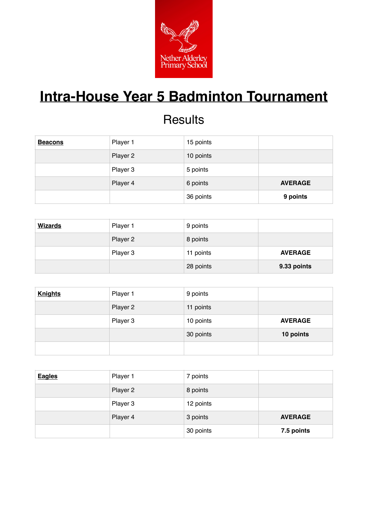

# **Intra-House Year 5 Badminton Tournament**

#### **Results**

| <b>Beacons</b> | Player 1 | 15 points |                |
|----------------|----------|-----------|----------------|
|                | Player 2 | 10 points |                |
|                | Player 3 | 5 points  |                |
|                | Player 4 | 6 points  | <b>AVERAGE</b> |
|                |          | 36 points | 9 points       |

| <b>Wizards</b> | Player 1 | 9 points  |                |
|----------------|----------|-----------|----------------|
|                | Player 2 | 8 points  |                |
|                | Player 3 | 11 points | <b>AVERAGE</b> |
|                |          | 28 points | 9.33 points    |

| <b>Knights</b> | Player 1 | 9 points  |                |
|----------------|----------|-----------|----------------|
|                | Player 2 | 11 points |                |
|                | Player 3 | 10 points | <b>AVERAGE</b> |
|                |          | 30 points | 10 points      |
|                |          |           |                |

| <b>Eagles</b> | Player 1 | 7 points  |                |
|---------------|----------|-----------|----------------|
|               | Player 2 | 8 points  |                |
|               | Player 3 | 12 points |                |
|               | Player 4 | 3 points  | <b>AVERAGE</b> |
|               |          | 30 points | 7.5 points     |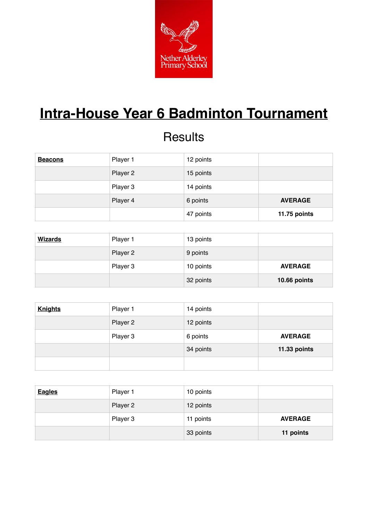

### **Intra-House Year 6 Badminton Tournament**

#### **Results**

| <b>Beacons</b> | Player 1 | 12 points |                |
|----------------|----------|-----------|----------------|
|                | Player 2 | 15 points |                |
|                | Player 3 | 14 points |                |
|                | Player 4 | 6 points  | <b>AVERAGE</b> |
|                |          | 47 points | 11.75 points   |

| <b>Wizards</b> | Player 1 | 13 points |                |
|----------------|----------|-----------|----------------|
|                | Player 2 | 9 points  |                |
|                | Player 3 | 10 points | <b>AVERAGE</b> |
|                |          | 32 points | 10.66 points   |

| <b>Knights</b> | Player 1 | 14 points |                |
|----------------|----------|-----------|----------------|
|                | Player 2 | 12 points |                |
|                | Player 3 | 6 points  | <b>AVERAGE</b> |
|                |          | 34 points | 11.33 points   |
|                |          |           |                |

| <b>Eagles</b> | Player 1 | 10 points |                |
|---------------|----------|-----------|----------------|
|               | Player 2 | 12 points |                |
|               | Player 3 | 11 points | <b>AVERAGE</b> |
|               |          | 33 points | 11 points      |